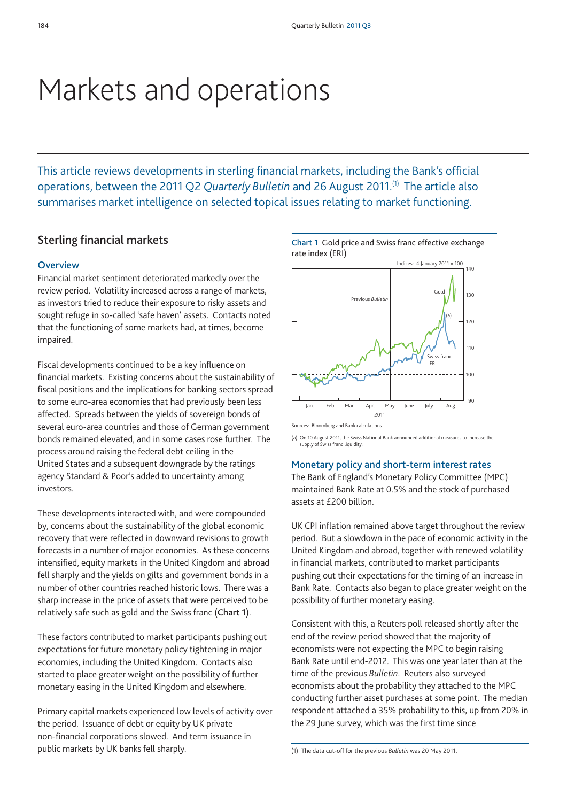# Markets and operations

This article reviews developments in sterling financial markets, including the Bank's official operations, between the 2011 Q2 *Quarterly Bulletin* and 26 August 2011.(1) The article also summarises market intelligence on selected topical issues relating to market functioning.

# **Sterling financial markets**

### **Overview**

Financial market sentiment deteriorated markedly over the review period. Volatility increased across a range of markets, as investors tried to reduce their exposure to risky assets and sought refuge in so-called 'safe haven' assets. Contacts noted that the functioning of some markets had, at times, become impaired.

Fiscal developments continued to be a key influence on financial markets. Existing concerns about the sustainability of fiscal positions and the implications for banking sectors spread to some euro-area economies that had previously been less affected. Spreads between the yields of sovereign bonds of several euro-area countries and those of German government bonds remained elevated, and in some cases rose further. The process around raising the federal debt ceiling in the United States and a subsequent downgrade by the ratings agency Standard & Poor's added to uncertainty among investors.

These developments interacted with, and were compounded by, concerns about the sustainability of the global economic recovery that were reflected in downward revisions to growth forecasts in a number of major economies. As these concerns intensified, equity markets in the United Kingdom and abroad fell sharply and the yields on gilts and government bonds in a number of other countries reached historic lows. There was a sharp increase in the price of assets that were perceived to be relatively safe such as gold and the Swiss franc (**Chart 1**).

These factors contributed to market participants pushing out expectations for future monetary policy tightening in major economies, including the United Kingdom. Contacts also started to place greater weight on the possibility of further monetary easing in the United Kingdom and elsewhere.

Primary capital markets experienced low levels of activity over the period. Issuance of debt or equity by UK private non-financial corporations slowed. And term issuance in public markets by UK banks fell sharply.



(a) On 10 August 2011, the Swiss National Bank announced additional measures to increase the supply of Swiss franc liquidity

#### **Monetary policy and short-term interest rates**

The Bank of England's Monetary Policy Committee (MPC) maintained Bank Rate at 0.5% and the stock of purchased assets at £200 billion.

UK CPI inflation remained above target throughout the review period. But a slowdown in the pace of economic activity in the United Kingdom and abroad, together with renewed volatility in financial markets, contributed to market participants pushing out their expectations for the timing of an increase in Bank Rate. Contacts also began to place greater weight on the possibility of further monetary easing.

Consistent with this, a Reuters poll released shortly after the end of the review period showed that the majority of economists were not expecting the MPC to begin raising Bank Rate until end-2012. This was one year later than at the time of the previous *Bulletin*. Reuters also surveyed economists about the probability they attached to the MPC conducting further asset purchases at some point. The median respondent attached a 35% probability to this, up from 20% in the 29 June survey, which was the first time since

<sup>(1)</sup> The data cut-off for the previous *Bulletin* was 20 May 2011.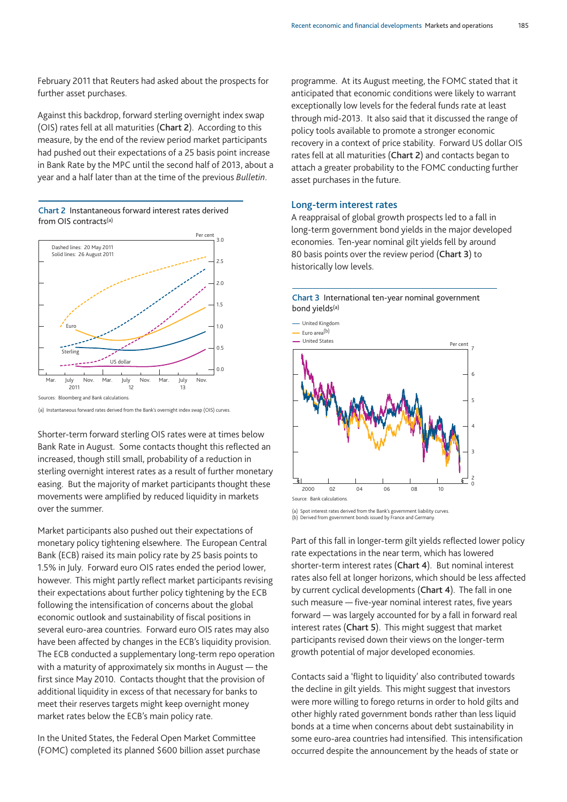February 2011 that Reuters had asked about the prospects for further asset purchases.

Against this backdrop, forward sterling overnight index swap (OIS) rates fell at all maturities (**Chart 2**). According to this measure, by the end of the review period market participants had pushed out their expectations of a 25 basis point increase in Bank Rate by the MPC until the second half of 2013, about a year and a half later than at the time of the previous *Bulletin*.





(a) Instantaneous forward rates derived from the Bank's overnight index swap (OIS) curves.

Shorter-term forward sterling OIS rates were at times below Bank Rate in August. Some contacts thought this reflected an increased, though still small, probability of a reduction in sterling overnight interest rates as a result of further monetary easing. But the majority of market participants thought these movements were amplified by reduced liquidity in markets over the summer.

Market participants also pushed out their expectations of monetary policy tightening elsewhere. The European Central Bank (ECB) raised its main policy rate by 25 basis points to 1.5% in July. Forward euro OIS rates ended the period lower, however. This might partly reflect market participants revising their expectations about further policy tightening by the ECB following the intensification of concerns about the global economic outlook and sustainability of fiscal positions in several euro-area countries. Forward euro OIS rates may also have been affected by changes in the ECB's liquidity provision. The ECB conducted a supplementary long-term repo operation with a maturity of approximately six months in August — the first since May 2010. Contacts thought that the provision of additional liquidity in excess of that necessary for banks to meet their reserves targets might keep overnight money market rates below the ECB's main policy rate.

In the United States, the Federal Open Market Committee (FOMC) completed its planned \$600 billion asset purchase programme. At its August meeting, the FOMC stated that it anticipated that economic conditions were likely to warrant exceptionally low levels for the federal funds rate at least through mid-2013. It also said that it discussed the range of policy tools available to promote a stronger economic recovery in a context of price stability. Forward US dollar OIS rates fell at all maturities (**Chart 2**) and contacts began to attach a greater probability to the FOMC conducting further asset purchases in the future.

#### **Long-term interest rates**

A reappraisal of global growth prospects led to a fall in long-term government bond yields in the major developed economies. Ten-year nominal gilt yields fell by around 80 basis points over the review period (**Chart 3**) to historically low levels.





(a) Spot interest rates derived from the Bank's government liability curves. (b) Derived from government bonds issued by France and Germany.

Part of this fall in longer-term gilt yields reflected lower policy rate expectations in the near term, which has lowered shorter-term interest rates (**Chart 4**). But nominal interest rates also fell at longer horizons, which should be less affected by current cyclical developments (**Chart 4**). The fall in one such measure — five-year nominal interest rates, five years forward — was largely accounted for by a fall in forward real interest rates (**Chart 5**). This might suggest that market participants revised down their views on the longer-term growth potential of major developed economies.

Contacts said a 'flight to liquidity' also contributed towards the decline in gilt yields. This might suggest that investors were more willing to forego returns in order to hold gilts and other highly rated government bonds rather than less liquid bonds at a time when concerns about debt sustainability in some euro-area countries had intensified. This intensification occurred despite the announcement by the heads of state or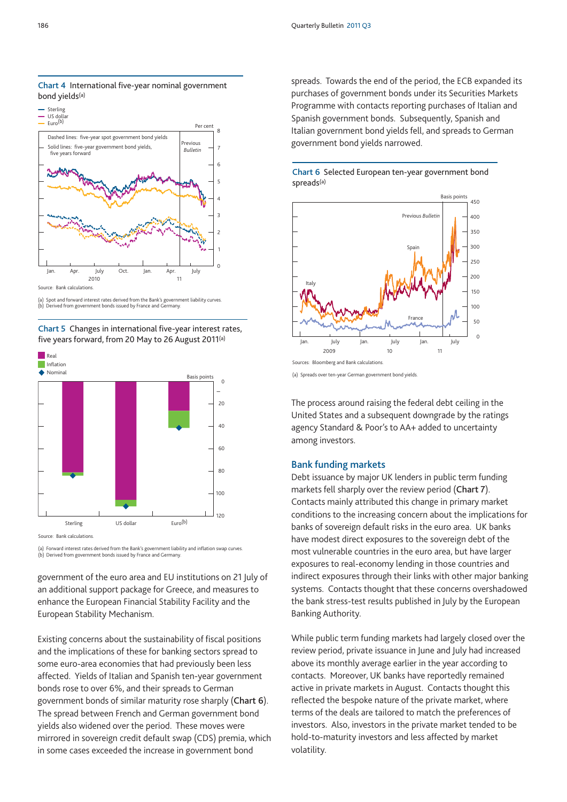

**Chart 4** International five-year nominal government bond yields(a)

(a) Spot and forward interest rates derived from the Bank's government liability curves. (b) Derived from government bonds issued by France and Germany.





Source: Bank calculations.

(a) Forward interest rates derived from the Bank's government liability and inflation swap curves. (b) Derived from government bonds issued by France and Germany.

government of the euro area and EU institutions on 21 July of an additional support package for Greece, and measures to enhance the European Financial Stability Facility and the European Stability Mechanism.

Existing concerns about the sustainability of fiscal positions and the implications of these for banking sectors spread to some euro-area economies that had previously been less affected. Yields of Italian and Spanish ten-year government bonds rose to over 6%, and their spreads to German government bonds of similar maturity rose sharply (**Chart 6**). The spread between French and German government bond yields also widened over the period. These moves were mirrored in sovereign credit default swap (CDS) premia, which in some cases exceeded the increase in government bond

spreads. Towards the end of the period, the ECB expanded its purchases of government bonds under its Securities Markets Programme with contacts reporting purchases of Italian and Spanish government bonds. Subsequently, Spanish and Italian government bond yields fell, and spreads to German government bond yields narrowed.

**Chart 6** Selected European ten-year government bond spreads(a)



Sources: Bloomberg and Bank calculations.

(a) Spreads over ten-year German government bond yields.

The process around raising the federal debt ceiling in the United States and a subsequent downgrade by the ratings agency Standard & Poor's to AA+ added to uncertainty among investors.

#### **Bank funding markets**

Debt issuance by major UK lenders in public term funding markets fell sharply over the review period (**Chart 7**). Contacts mainly attributed this change in primary market conditions to the increasing concern about the implications for banks of sovereign default risks in the euro area. UK banks have modest direct exposures to the sovereign debt of the most vulnerable countries in the euro area, but have larger exposures to real-economy lending in those countries and indirect exposures through their links with other major banking systems. Contacts thought that these concerns overshadowed the bank stress-test results published in July by the European Banking Authority.

While public term funding markets had largely closed over the review period, private issuance in June and July had increased above its monthly average earlier in the year according to contacts. Moreover, UK banks have reportedly remained active in private markets in August. Contacts thought this reflected the bespoke nature of the private market, where terms of the deals are tailored to match the preferences of investors. Also, investors in the private market tended to be hold-to-maturity investors and less affected by market volatility.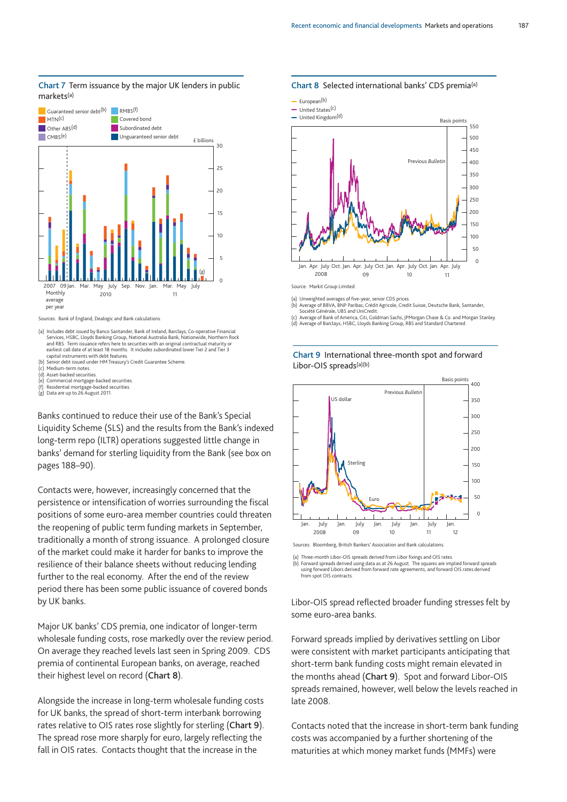

#### **Chart 7** Term issuance by the major UK lenders in public markets(a)

(a) Includes debt issued by Banco Santander, Bank of Ireland, Barclays, Co-operative Financial Services, HSBC, Lloyds Banking Group, National Australia Bank, Nationwide, Northern Rock and RBS. Term issuance refers here to securities with an original contractual maturity or<br>earliest call date of at least 18 months. It includes subordinated lower Tier 2 and Tier 3<br>capital instruments with debt features.

(b) Senior debt issued under HM Treasury's Credit Guarantee Scheme.

(c) Medium-term notes. (d) Asset-backed securities.

(e) Commercial mortgage-backed securities. (f) Residential mortgage-backed securities. (g) Data are up to 26 August 2011.

Banks continued to reduce their use of the Bank's Special Liquidity Scheme (SLS) and the results from the Bank's indexed long-term repo (ILTR) operations suggested little change in banks' demand for sterling liquidity from the Bank (see box on pages 188–90).

Contacts were, however, increasingly concerned that the persistence or intensification of worries surrounding the fiscal positions of some euro-area member countries could threaten the reopening of public term funding markets in September, traditionally a month of strong issuance. A prolonged closure of the market could make it harder for banks to improve the resilience of their balance sheets without reducing lending further to the real economy. After the end of the review period there has been some public issuance of covered bonds by UK banks.

Major UK banks' CDS premia, one indicator of longer-term wholesale funding costs, rose markedly over the review period. On average they reached levels last seen in Spring 2009. CDS premia of continental European banks, on average, reached their highest level on record (**Chart 8**).

Alongside the increase in long-term wholesale funding costs for UK banks, the spread of short-term interbank borrowing rates relative to OIS rates rose slightly for sterling (**Chart 9**). The spread rose more sharply for euro, largely reflecting the fall in OIS rates. Contacts thought that the increase in the

#### **Chart 8** Selected international banks' CDS premia(a)





(a) Unweighted averages of five-year, senior CDS prices. (b) Average of BBVA, BNP Paribas, Crédit Agricole, Credit Suisse, Deutsche Bank, Santander,

Société Générale, UBS and UniCredit.

(c) Average of Bank of America, Citi, Goldman Sachs, JPMorgan Chase & Co. and Morgan Stanley. (d) Average of Barclays, HSBC, Lloyds Banking Group, RBS and Standard Chartered.





Sources: Bloomberg, British Bankers' Association and Bank calcu

(a) Three-month Libor-OIS spreads derived from Libor fixings and OIS rates.

(b) Forward spreads derived using data as at 26 August. The squares are implied forward spreads using forward Libors derived from forward rate agreements, and forward OIS rates derived from spot OIS contracts.

Libor-OIS spread reflected broader funding stresses felt by some euro-area banks.

Forward spreads implied by derivatives settling on Libor were consistent with market participants anticipating that short-term bank funding costs might remain elevated in the months ahead (**Chart 9**). Spot and forward Libor-OIS spreads remained, however, well below the levels reached in late 2008.

Contacts noted that the increase in short-term bank funding costs was accompanied by a further shortening of the maturities at which money market funds (MMFs) were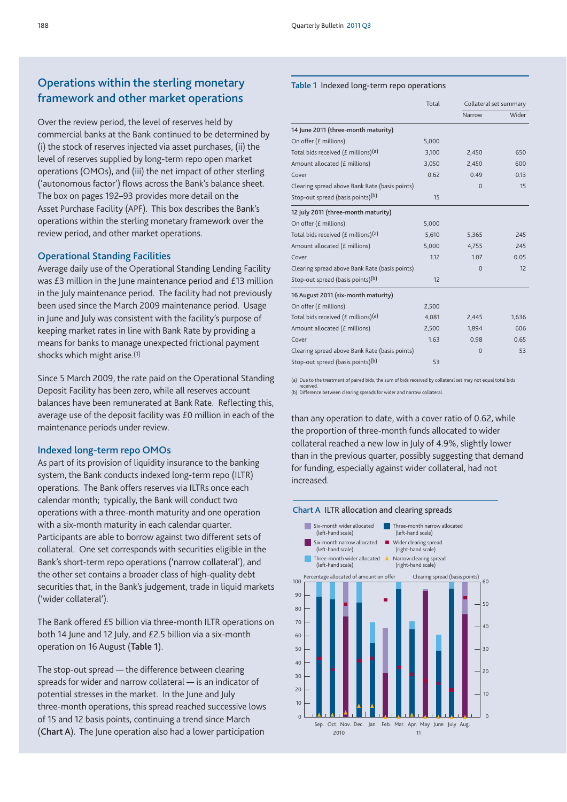# **Operations within the sterling monetary framework and other market operations**

Over the review period, the level of reserves held by commercial banks at the Bank continued to be determined by (i) the stock of reserves injected via asset purchases, (ii) the level of reserves supplied by long-term repo open market operations (OMOs), and (iii) the net impact of other sterling ('autonomous factor') flows across the Bank's balance sheet. The box on pages 192–93 provides more detail on the Asset Purchase Facility (APF). This box describes the Bank's operations within the sterling monetary framework over the review period, and other market operations.

#### **Operational Standing Facilities**

Average daily use of the Operational Standing Lending Facility was £3 million in the June maintenance period and £13 million in the July maintenance period. The facility had not previously been used since the March 2009 maintenance period. Usage in June and July was consistent with the facility's purpose of keeping market rates in line with Bank Rate by providing a means for banks to manage unexpected frictional payment shocks which might arise.(1)

Since 5 March 2009, the rate paid on the Operational Standing Deposit Facility has been zero, while all reserves account balances have been remunerated at Bank Rate. Reflecting this, average use of the deposit facility was £0 million in each of the maintenance periods under review.

#### **Indexed long-term repo OMOs**

As part of its provision of liquidity insurance to the banking system, the Bank conducts indexed long-term repo (ILTR) operations. The Bank offers reserves via ILTRs once each calendar month; typically, the Bank will conduct two operations with a three-month maturity and one operation with a six-month maturity in each calendar quarter. Participants are able to borrow against two different sets of collateral. One set corresponds with securities eligible in the Bank's short-term repo operations ('narrow collateral'), and the other set contains a broader class of high-quality debt securities that, in the Bank's judgement, trade in liquid markets ('wider collateral').

The Bank offered £5 billion via three-month ILTR operations on both 14 June and 12 July, and £2.5 billion via a six-month operation on 16 August (**Table 1**).

The stop-out spread — the difference between clearing spreads for wider and narrow collateral — is an indicator of potential stresses in the market. In the June and July three-month operations, this spread reached successive lows of 15 and 12 basis points, continuing a trend since March (**Chart A**). The June operation also had a lower participation

#### **Table 1** Indexed long-term repo operations

|                                                    | Total | Collateral set summary |       |  |
|----------------------------------------------------|-------|------------------------|-------|--|
|                                                    |       | Narrow                 | Wider |  |
| 14 June 2011 (three-month maturity)                |       |                        |       |  |
| On offer (£ millions)                              | 5,000 |                        |       |  |
| Total bids received ( $f$ millions) <sup>(a)</sup> | 3,100 | 2,450                  | 650   |  |
| Amount allocated (£ millions)                      | 3,050 | 2,450                  | 600   |  |
| Cover                                              | 0.62  | 0.49                   | 0.13  |  |
| Clearing spread above Bank Rate (basis points)     |       | $\Omega$               | 15    |  |
| Stop-out spread (basis points) <sup>(b)</sup>      | 15    |                        |       |  |
| 12 July 2011 (three-month maturity)                |       |                        |       |  |
| On offer (£ millions)                              | 5,000 |                        |       |  |
| Total bids received (£ millions) <sup>(a)</sup>    | 5,610 | 5,365                  | 245   |  |
| Amount allocated (£ millions)                      | 5,000 | 4,755                  | 245   |  |
| Cover                                              | 1.12  | 1.07                   | 0.05  |  |
| Clearing spread above Bank Rate (basis points)     |       | $\Omega$               | 12    |  |
| Stop-out spread (basis points)(b)                  | 12    |                        |       |  |
| 16 August 2011 (six-month maturity)                |       |                        |       |  |
| On offer (£ millions)                              | 2,500 |                        |       |  |
| Total bids received $(f$ millions) <sup>(a)</sup>  | 4,081 | 2,445                  | 1,636 |  |
| Amount allocated (£ millions)                      | 2,500 | 1,894                  | 606   |  |
| Cover                                              | 1.63  | 0.98                   | 0.65  |  |
| Clearing spread above Bank Rate (basis points)     |       | $\Omega$               | 53    |  |
| Stop-out spread (basis points) <sup>(b)</sup>      | 53    |                        |       |  |

(a) Due to the treatment of paired bids, the sum of bids received by collateral set may not equal total bids

received. (b) Difference between clearing spreads for wider and narrow collateral.

than any operation to date, with a cover ratio of 0.62, while the proportion of three-month funds allocated to wider collateral reached a new low in July of 4.9%, slightly lower than in the previous quarter, possibly suggesting that demand for funding, especially against wider collateral, had not increased.

#### **Chart A** ILTR allocation and clearing spreads

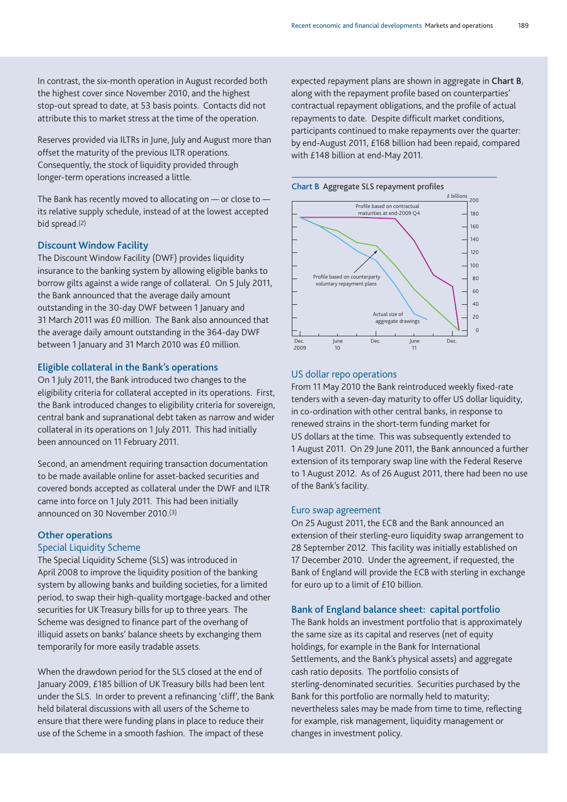In contrast, the six-month operation in August recorded both the highest cover since November 2010, and the highest stop-out spread to date, at 53 basis points. Contacts did not attribute this to market stress at the time of the operation.

Reserves provided via ILTRs in June, July and August more than offset the maturity of the previous ILTR operations. Consequently, the stock of liquidity provided through longer-term operations increased a little.

The Bank has recently moved to allocating on — or close to its relative supply schedule, instead of at the lowest accepted bid spread.(2)

#### **Discount Window Facility**

The Discount Window Facility (DWF) provides liquidity insurance to the banking system by allowing eligible banks to borrow gilts against a wide range of collateral. On 5 July 2011, the Bank announced that the average daily amount outstanding in the 30-day DWF between 1 January and 31 March 2011 was £0 million. The Bank also announced that the average daily amount outstanding in the 364-day DWF between 1 January and 31 March 2010 was £0 million.

#### **Eligible collateral in the Bank's operations**

On 1 July 2011, the Bank introduced two changes to the eligibility criteria for collateral accepted in its operations. First, the Bank introduced changes to eligibility criteria for sovereign, central bank and supranational debt taken as narrow and wider collateral in its operations on 1 July 2011. This had initially been announced on 11 February 2011.

Second, an amendment requiring transaction documentation to be made available online for asset-backed securities and covered bonds accepted as collateral under the DWF and ILTR came into force on 1 July 2011. This had been initially announced on 30 November 2010.(3)

# **Other operations**

#### Special Liquidity Scheme

The Special Liquidity Scheme (SLS) was introduced in April 2008 to improve the liquidity position of the banking system by allowing banks and building societies, for a limited period, to swap their high-quality mortgage-backed and other securities for UK Treasury bills for up to three years. The Scheme was designed to finance part of the overhang of illiquid assets on banks' balance sheets by exchanging them temporarily for more easily tradable assets.

When the drawdown period for the SLS closed at the end of January 2009, £185 billion of UK Treasury bills had been lent under the SLS. In order to prevent a refinancing 'cliff', the Bank held bilateral discussions with all users of the Scheme to ensure that there were funding plans in place to reduce their use of the Scheme in a smooth fashion. The impact of these

expected repayment plans are shown in aggregate in **Chart B**, along with the repayment profile based on counterparties' contractual repayment obligations, and the profile of actual repayments to date. Despite difficult market conditions, participants continued to make repayments over the quarter: by end-August 2011, £168 billion had been repaid, compared with £148 billion at end-May 2011.





## US dollar repo operations

From 11 May 2010 the Bank reintroduced weekly fixed-rate tenders with a seven-day maturity to offer US dollar liquidity, in co-ordination with other central banks, in response to renewed strains in the short-term funding market for US dollars at the time. This was subsequently extended to 1 August 2011. On 29 June 2011, the Bank announced a further extension of its temporary swap line with the Federal Reserve to 1 August 2012. As of 26 August 2011, there had been no use of the Bank's facility.

#### Euro swap agreement

On 25 August 2011, the ECB and the Bank announced an extension of their sterling-euro liquidity swap arrangement to 28 September 2012. This facility was initially established on 17 December 2010. Under the agreement, if requested, the Bank of England will provide the ECB with sterling in exchange for euro up to a limit of £10 billion.

#### **Bank of England balance sheet: capital portfolio**

The Bank holds an investment portfolio that is approximately the same size as its capital and reserves (net of equity holdings, for example in the Bank for International Settlements, and the Bank's physical assets) and aggregate cash ratio deposits. The portfolio consists of sterling-denominated securities. Securities purchased by the Bank for this portfolio are normally held to maturity; nevertheless sales may be made from time to time, reflecting for example, risk management, liquidity management or changes in investment policy.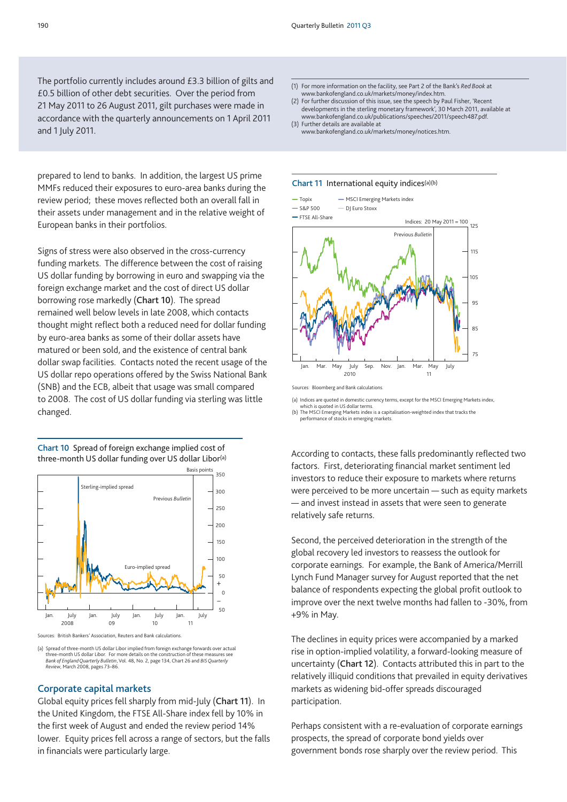The portfolio currently includes around £3.3 billion of gilts and £0.5 billion of other debt securities. Over the period from 21 May 2011 to 26 August 2011, gilt purchases were made in accordance with the quarterly announcements on 1 April 2011 and 1 July 2011.

prepared to lend to banks. In addition, the largest US prime MMFs reduced their exposures to euro-area banks during the review period; these moves reflected both an overall fall in their assets under management and in the relative weight of European banks in their portfolios.

Signs of stress were also observed in the cross-currency funding markets. The difference between the cost of raising US dollar funding by borrowing in euro and swapping via the foreign exchange market and the cost of direct US dollar borrowing rose markedly (**Chart 10**). The spread remained well below levels in late 2008, which contacts thought might reflect both a reduced need for dollar funding by euro-area banks as some of their dollar assets have matured or been sold, and the existence of central bank dollar swap facilities. Contacts noted the recent usage of the US dollar repo operations offered by the Swiss National Bank (SNB) and the ECB, albeit that usage was small compared to 2008. The cost of US dollar funding via sterling was little changed.

**Chart 10** Spread of foreign exchange implied cost of three-month US dollar funding over US dollar Libor(a)



Sources: British Bankers' Association, Reuters and Bank calculation

(a) Spread of three-month US dollar Libor implied from foreign exchange forwards over actual<br>three-month US dollar Libor. For more details on the construction of these measures see three-month US dollar Libor. For more details on the co *Bank of England Quarterly Bulletin*, Vol. 48, No. 2, page 134, Chart 26 and *BIS Quarterly Review*, March 2008, pages 73–86.

#### **Corporate capital markets**

Global equity prices fell sharply from mid-July (**Chart 11**). In the United Kingdom, the FTSE All-Share index fell by 10% in the first week of August and ended the review period 14% lower. Equity prices fell across a range of sectors, but the falls in financials were particularly large.

- (1) For more information on the facility, see Part 2 of the Bank's *Red Book* at www.bankofengland.co.uk/markets/money/index.htm.
- (2) For further discussion of this issue, see the speech by Paul Fisher, 'Recent developments in the sterling monetary framework', 30 March 2011, available at www.bankofengland.co.uk/publications/speeches/2011/speech487.pdf. (3) Further details are available at
- www.bankofengland.co.uk/markets/money/notices.htm.

#### **Chart 11** International equity indices(a)(b)



(a) Indices are quoted in domestic currency terms, except for the MSCI Emerging Markets index,

quoted in domestic cui<br>oted in US dollar terms. (b) The MSCI Emerging Markets index is a capitalisation-weighted index that tracks the performance of stocks in emerging markets.

According to contacts, these falls predominantly reflected two factors. First, deteriorating financial market sentiment led investors to reduce their exposure to markets where returns were perceived to be more uncertain — such as equity markets — and invest instead in assets that were seen to generate relatively safe returns.

Second, the perceived deterioration in the strength of the global recovery led investors to reassess the outlook for corporate earnings. For example, the Bank of America/Merrill Lynch Fund Manager survey for August reported that the net balance of respondents expecting the global profit outlook to improve over the next twelve months had fallen to -30%, from +9% in May.

The declines in equity prices were accompanied by a marked rise in option-implied volatility, a forward-looking measure of uncertainty (**Chart 12**). Contacts attributed this in part to the relatively illiquid conditions that prevailed in equity derivatives markets as widening bid-offer spreads discouraged participation.

Perhaps consistent with a re-evaluation of corporate earnings prospects, the spread of corporate bond yields over government bonds rose sharply over the review period. This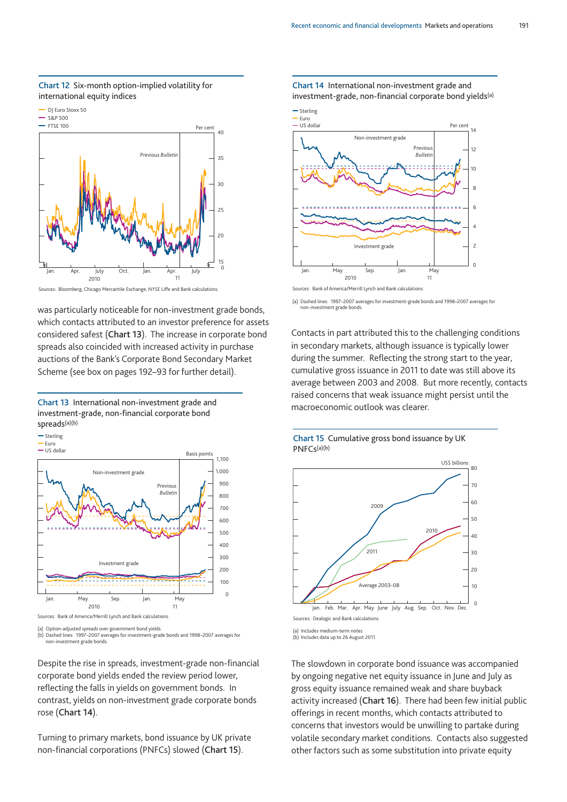

#### **Chart 12** Six-month option-implied volatility for international equity indices



was particularly noticeable for non-investment grade bonds, which contacts attributed to an investor preference for assets considered safest (**Chart 13**). The increase in corporate bond spreads also coincided with increased activity in purchase auctions of the Bank's Corporate Bond Secondary Market Scheme (see box on pages 192–93 for further detail).



Previous *Bulletin*  US dollar - Euro  $S$ terling  $\Omega$  $100$ 200 300 400 500 600 700 800 900 1,000 1,100 Basis points Non-investment grade Investment grade Jan. May Sep. Jan. May 2010 11 Sources: Bank of America/Merrill Lynch and Bank calculations.

(a) Option-adjusted spreads over government bond yields.

(b) Dashed lines: 1997–2007 averages for investment-grade bonds and 1998–2007 averages for non-investment grade bonds.

Despite the rise in spreads, investment-grade non-financial corporate bond yields ended the review period lower, reflecting the falls in yields on government bonds. In contrast, yields on non-investment grade corporate bonds rose (**Chart 14**).

Turning to primary markets, bond issuance by UK private non-financial corporations (PNFCs) slowed (**Chart 15**).

**Chart 14** International non-investment grade and investment-grade, non-financial corporate bond yields<sup>(a)</sup>



Sources: Bank of America/Merrill Lynch and Bank calculations.

(a) Dashed lines: 1997–2007 averages for investment-grade bonds and 1998–2007 averages for non-investment grade bonds.

Contacts in part attributed this to the challenging conditions in secondary markets, although issuance is typically lower during the summer. Reflecting the strong start to the year, cumulative gross issuance in 2011 to date was still above its average between 2003 and 2008. But more recently, contacts raised concerns that weak issuance might persist until the macroeconomic outlook was clearer.

#### **Chart 15** Cumulative gross bond issuance by UK PNFCs(a)(b)



(a) Includes medium-term notes. (b) Includes data up to 26 August 2011.

The slowdown in corporate bond issuance was accompanied by ongoing negative net equity issuance in June and July as gross equity issuance remained weak and share buyback activity increased (**Chart 16**). There had been few initial public offerings in recent months, which contacts attributed to concerns that investors would be unwilling to partake during volatile secondary market conditions. Contacts also suggested other factors such as some substitution into private equity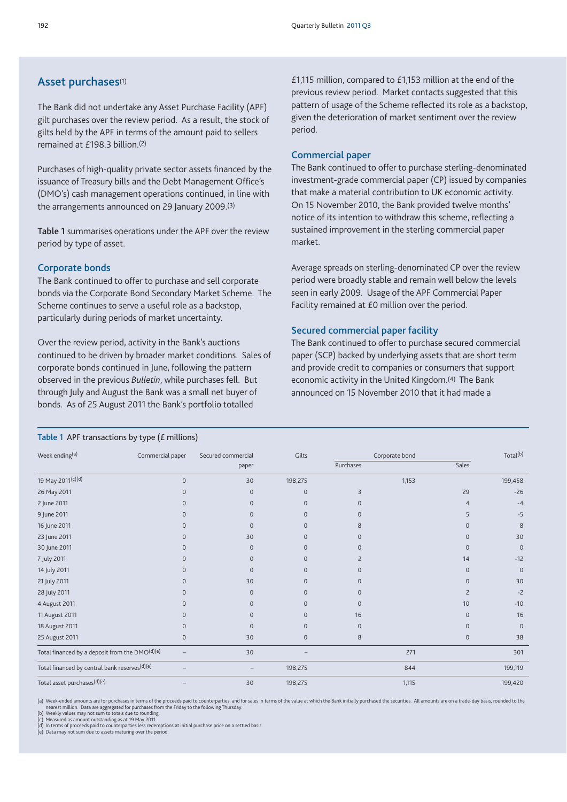# **Asset purchases**(1)

The Bank did not undertake any Asset Purchase Facility (APF) gilt purchases over the review period. As a result, the stock of gilts held by the APF in terms of the amount paid to sellers remained at £198.3 billion.(2)

Purchases of high-quality private sector assets financed by the issuance of Treasury bills and the Debt Management Office's (DMO's) cash management operations continued, in line with the arrangements announced on 29 January 2009.(3)

**Table 1** summarises operations under the APF over the review period by type of asset.

#### **Corporate bonds**

The Bank continued to offer to purchase and sell corporate bonds via the Corporate Bond Secondary Market Scheme. The Scheme continues to serve a useful role as a backstop, particularly during periods of market uncertainty.

Over the review period, activity in the Bank's auctions continued to be driven by broader market conditions. Sales of corporate bonds continued in June, following the pattern observed in the previous *Bulletin*, while purchases fell. But through July and August the Bank was a small net buyer of bonds. As of 25 August 2011 the Bank's portfolio totalled

£1,115 million, compared to £1,153 million at the end of the previous review period. Market contacts suggested that this pattern of usage of the Scheme reflected its role as a backstop, given the deterioration of market sentiment over the review period.

#### **Commercial paper**

The Bank continued to offer to purchase sterling-denominated investment-grade commercial paper (CP) issued by companies that make a material contribution to UK economic activity. On 15 November 2010, the Bank provided twelve months' notice of its intention to withdraw this scheme, reflecting a sustained improvement in the sterling commercial paper market.

Average spreads on sterling-denominated CP over the review period were broadly stable and remain well below the levels seen in early 2009. Usage of the APF Commercial Paper Facility remained at £0 million over the period.

#### **Secured commercial paper facility**

paper **Sales** Sales Controller Controller Purchases Sales Sales Sales Sales Sales

The Bank continued to offer to purchase secured commercial paper (SCP) backed by underlying assets that are short term and provide credit to companies or consumers that support economic activity in the United Kingdom.(4) The Bank announced on 15 November 2010 that it had made a

| 19 May 2011 <sup>(c)(d)</sup> | $\mathbf{0}$ | 30       | 198,275      |              | 1,153 |                | 199,458        |
|-------------------------------|--------------|----------|--------------|--------------|-------|----------------|----------------|
| 26 May 2011                   | $\Omega$     | $\Omega$ | $\mathbf{0}$ | 3            |       | 29             | $-26$          |
| 2 June 2011                   | $\Omega$     |          | $\Omega$     | $\mathbf{0}$ |       | 4              | $-4$           |
| 9 June 2011                   | 0            |          | $\Omega$     | $\mathbf{0}$ |       |                | $-5$           |
| 16 June 2011                  | $\Omega$     |          | $\Omega$     | 8            |       |                | $\epsilon$     |
| 23 June 2011                  | $\Omega$     | 30       | $\Omega$     | $\Omega$     |       | 0              | 3 <sup>c</sup> |
| 30 June 2011                  | $\Omega$     | $\Omega$ | $\mathbf{0}$ | $\Omega$     |       | $\Omega$       |                |
| 7 July 2011                   | U            |          | $\Omega$     |              |       | 14             | $-12$          |
| 14 July 2011                  | 0            |          | $\Omega$     | $\mathbf{0}$ |       | $\mathbf{0}$   |                |
| 21 July 2011                  | $\Omega$     | 30       | $\Omega$     | $\Omega$     |       | $\Omega$       | 3 <sub>C</sub> |
| 28 July 2011                  |              |          | $\Omega$     | $\Omega$     |       |                | $-\tilde{c}$   |
| 4 August 2011                 | $\Omega$     |          | $\mathbf{0}$ | $\mathbf{0}$ |       | 10             | $-10$          |
| 11 August 2011                | U            |          | $\Omega$     | 16           |       | $\overline{0}$ | 16             |
| 18 August 2011                | $\Omega$     |          | $\mathbf{0}$ | $\mathbf{0}$ |       | $\Omega$       |                |
| 25 August 2011                | $\Omega$     | 30       | $\Omega$     | 8            |       | 0              | 38             |
|                               |              |          |              |              |       |                |                |

Week ending<sup>(a)</sup> Commercial paper Secured commercial Gilts Corporate bond Corporate bond Total<sup>(b)</sup>

#### **Table 1** APF transactions by type (£ millions)

(a) Week-ended amounts are for purchases in terms of the proceeds paid to counterparties, and for sales in terms of the value at which the Bank initially purchased the securities. All amounts are on a trade-day basis, roun nearest million. Data are aggregated for purchases from the Friday to the following Thursday. (b) Weekly values may not sum to totals due to rounding. (c) Measured as amount outstanding as at 19 May 2011.

Total financed by a deposit from the DMO<sup>(d)</sup>(e)  $\qquad$   $\qquad$  30  $\qquad$   $\qquad$  271  $\qquad$  271  $\qquad$  301 Total financed by central bank reserves<sup>(d)(e)</sup>  $-$  198,275 844 844 199,119 Total asset purchases<sup>(d)(e)</sup> <sup>–</sup> 30 198,275 1,115 199,420 199,420

(d) In terms of proceeds paid to counterparties less redemptions at initial purchase price on a settled basis. (e) Data may not sum due to assets maturing over the period.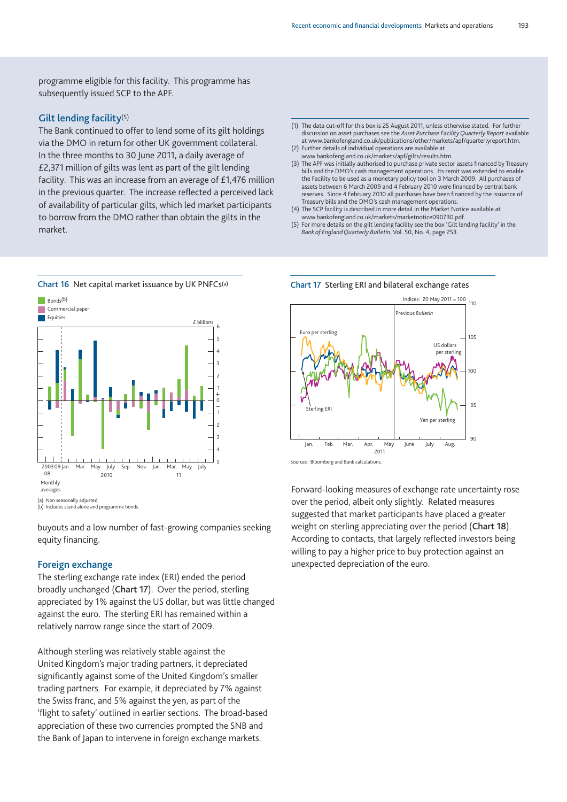programme eligible for this facility. This programme has subsequently issued SCP to the APF.

#### **Gilt lending facility**(5)

The Bank continued to offer to lend some of its gilt holdings via the DMO in return for other UK government collateral. In the three months to 30 June 2011, a daily average of £2,371 million of gilts was lent as part of the gilt lending facility. This was an increase from an average of £1,476 million in the previous quarter. The increase reflected a perceived lack of availability of particular gilts, which led market participants to borrow from the DMO rather than obtain the gilts in the market.

5 4 3 2 1 0 1 2 3 4 5 6 2003 09 –08 Mar. May July Sep. Nov. Jan. Mar. May July **Equities**  $\n **B**ondc(b)$ Commercial paper £ billions Monthly averages 2010 11 + – (a) Non seasonally adjusted. (b) Includes stand alone and programme bonds.

buyouts and a low number of fast-growing companies seeking equity financing.

#### **Foreign exchange**

The sterling exchange rate index (ERI) ended the period broadly unchanged (**Chart 17**). Over the period, sterling appreciated by 1% against the US dollar, but was little changed against the euro. The sterling ERI has remained within a relatively narrow range since the start of 2009.

Although sterling was relatively stable against the United Kingdom's major trading partners, it depreciated significantly against some of the United Kingdom's smaller trading partners. For example, it depreciated by 7% against the Swiss franc, and 5% against the yen, as part of the 'flight to safety' outlined in earlier sections. The broad-based appreciation of these two currencies prompted the SNB and the Bank of Japan to intervene in foreign exchange markets.

- (1) The data cut-off for this box is 25 August 2011, unless otherwise stated. For further discussion on asset purchases see the *Asset Purchase Facility Quarterly Report* available at www.bankofengland.co.uk/publications/other/markets/apf/quarterlyreport.htm. (2) Further details of individual operations are available at
- www.bankofengland.co.uk/markets/apf/gilts/results.htm.
- (3) The APF was initially authorised to purchase private sector assets financed by Treasury bills and the DMO's cash management operations. Its remit was extended to enable the Facility to be used as a monetary policy tool on 3 March 2009. All purchases of assets between 6 March 2009 and 4 February 2010 were financed by central bank reserves. Since 4 February 2010 all purchases have been financed by the issuance of Treasury bills and the DMO's cash management operations.
- (4) The SCP facility is described in more detail in the Market Notice available at www.bankofengland.co.uk/markets/marketnotice090730.pdf.
- (5) For more details on the gilt lending facility see the box 'Gilt lending facility' in the *Bank of England Quarterly Bulletin*, Vol. 50, No. 4, page 253.

**Chart 17** Sterling ERI and bilateral exchange rates



Sources: Bloomberg and Bank calculations.

Forward-looking measures of exchange rate uncertainty rose over the period, albeit only slightly. Related measures suggested that market participants have placed a greater weight on sterling appreciating over the period (**Chart 18**). According to contacts, that largely reflected investors being willing to pay a higher price to buy protection against an unexpected depreciation of the euro.

# **Chart 16** Net capital market issuance by UK PNFCs(a)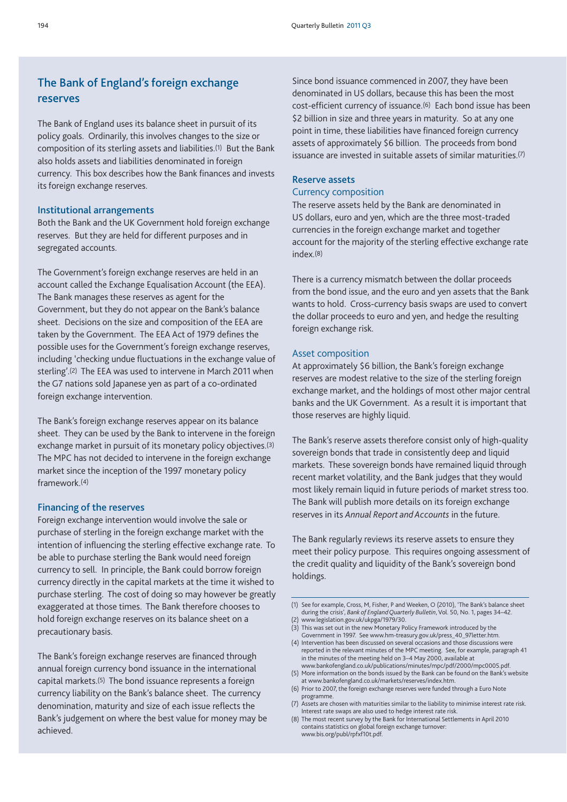# **The Bank of England's foreign exchange reserves**

The Bank of England uses its balance sheet in pursuit of its policy goals. Ordinarily, this involves changes to the size or composition of its sterling assets and liabilities.(1) But the Bank also holds assets and liabilities denominated in foreign currency. This box describes how the Bank finances and invests its foreign exchange reserves.

#### **Institutional arrangements**

Both the Bank and the UK Government hold foreign exchange reserves. But they are held for different purposes and in segregated accounts.

The Government's foreign exchange reserves are held in an account called the Exchange Equalisation Account (the EEA). The Bank manages these reserves as agent for the Government, but they do not appear on the Bank's balance sheet. Decisions on the size and composition of the EEA are taken by the Government. The EEA Act of 1979 defines the possible uses for the Government's foreign exchange reserves, including 'checking undue fluctuations in the exchange value of sterling'.(2) The EEA was used to intervene in March 2011 when the G7 nations sold Japanese yen as part of a co-ordinated foreign exchange intervention.

The Bank's foreign exchange reserves appear on its balance sheet. They can be used by the Bank to intervene in the foreign exchange market in pursuit of its monetary policy objectives.(3) The MPC has not decided to intervene in the foreign exchange market since the inception of the 1997 monetary policy framework.(4)

#### **Financing of the reserves**

Foreign exchange intervention would involve the sale or purchase of sterling in the foreign exchange market with the intention of influencing the sterling effective exchange rate. To be able to purchase sterling the Bank would need foreign currency to sell. In principle, the Bank could borrow foreign currency directly in the capital markets at the time it wished to purchase sterling. The cost of doing so may however be greatly exaggerated at those times. The Bank therefore chooses to hold foreign exchange reserves on its balance sheet on a precautionary basis.

The Bank's foreign exchange reserves are financed through annual foreign currency bond issuance in the international capital markets.(5) The bond issuance represents a foreign currency liability on the Bank's balance sheet. The currency denomination, maturity and size of each issue reflects the Bank's judgement on where the best value for money may be achieved.

Since bond issuance commenced in 2007, they have been denominated in US dollars, because this has been the most cost-efficient currency of issuance.(6) Each bond issue has been \$2 billion in size and three years in maturity. So at any one point in time, these liabilities have financed foreign currency assets of approximately \$6 billion. The proceeds from bond issuance are invested in suitable assets of similar maturities.(7)

#### **Reserve assets**

#### Currency composition

The reserve assets held by the Bank are denominated in US dollars, euro and yen, which are the three most-traded currencies in the foreign exchange market and together account for the majority of the sterling effective exchange rate index.(8)

There is a currency mismatch between the dollar proceeds from the bond issue, and the euro and yen assets that the Bank wants to hold. Cross-currency basis swaps are used to convert the dollar proceeds to euro and yen, and hedge the resulting foreign exchange risk.

#### Asset composition

At approximately \$6 billion, the Bank's foreign exchange reserves are modest relative to the size of the sterling foreign exchange market, and the holdings of most other major central banks and the UK Government. As a result it is important that those reserves are highly liquid.

The Bank's reserve assets therefore consist only of high-quality sovereign bonds that trade in consistently deep and liquid markets. These sovereign bonds have remained liquid through recent market volatility, and the Bank judges that they would most likely remain liquid in future periods of market stress too. The Bank will publish more details on its foreign exchange reserves in its *Annual Report and Accounts* in the future.

The Bank regularly reviews its reserve assets to ensure they meet their policy purpose. This requires ongoing assessment of the credit quality and liquidity of the Bank's sovereign bond holdings.

- (1) See for example, Cross, M, Fisher, P and Weeken, O (2010), 'The Bank's balance sheet during the crisis', *Bank of England Quarterly Bulletin*, Vol. 50, No. 1, pages 34–42.
- (2) www.legislation.gov.uk/ukpga/1979/30.
- (3) This was set out in the new Monetary Policy Framework introduced by the Government in 1997. See www.hm-treasury.gov.uk/press\_40\_97letter.htm.
- (4) Intervention has been discussed on several occasions and those discussions were reported in the relevant minutes of the MPC meeting. See, for example, paragraph 41 in the minutes of the meeting held on 3–4 May 2000, available at www.bankofengland.co.uk/publications/minutes/mpc/pdf/2000/mpc0005.pdf.
- (5) More information on the bonds issued by the Bank can be found on the Bank's website at www.bankofengland.co.uk/markets/reserves/index.htm.
- (6) Prior to 2007, the foreign exchange reserves were funded through a Euro Note programme.
- (7) Assets are chosen with maturities similar to the liability to minimise interest rate risk. Interest rate swaps are also used to hedge interest rate risk.
- (8) The most recent survey by the Bank for International Settlements in April 2010 contains statistics on global foreign exchange turnover: www.bis.org/publ/rpfxf10t.pdf.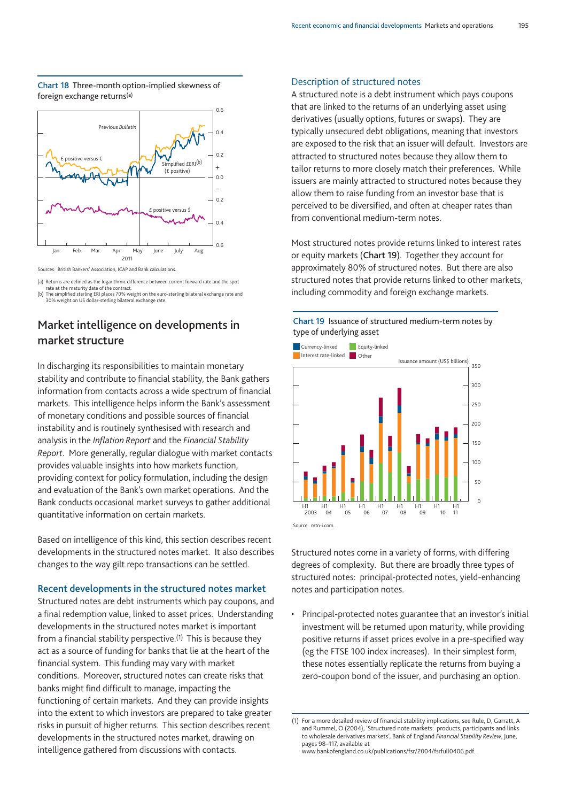#### **Chart 18** Three-month option-implied skewness of foreign exchange returns(a)



Sources: British Bankers' Association, ICAP and Bank calculations.

(a) Returns are defined as the logarithmic difference between current forward rate and the spot

rate at the maturity date of the contract.<br>(b) The simplified sterling ERI places 70% weight on the euro-sterling bilateral exchange rate and<br>(b) The simplified sterling bilateral exchange rate.

# **Market intelligence on developments in market structure**

In discharging its responsibilities to maintain monetary stability and contribute to financial stability, the Bank gathers information from contacts across a wide spectrum of financial markets. This intelligence helps inform the Bank's assessment of monetary conditions and possible sources of financial instability and is routinely synthesised with research and analysis in the *Inflation Report* and the *Financial Stability Report*. More generally, regular dialogue with market contacts provides valuable insights into how markets function, providing context for policy formulation, including the design and evaluation of the Bank's own market operations. And the Bank conducts occasional market surveys to gather additional quantitative information on certain markets.

Based on intelligence of this kind, this section describes recent developments in the structured notes market. It also describes changes to the way gilt repo transactions can be settled.

#### **Recent developments in the structured notes market**

Structured notes are debt instruments which pay coupons, and a final redemption value, linked to asset prices. Understanding developments in the structured notes market is important from a financial stability perspective.<sup>(1)</sup> This is because they act as a source of funding for banks that lie at the heart of the financial system. This funding may vary with market conditions. Moreover, structured notes can create risks that banks might find difficult to manage, impacting the functioning of certain markets. And they can provide insights into the extent to which investors are prepared to take greater risks in pursuit of higher returns. This section describes recent developments in the structured notes market, drawing on intelligence gathered from discussions with contacts.

#### Description of structured notes

A structured note is a debt instrument which pays coupons that are linked to the returns of an underlying asset using derivatives (usually options, futures or swaps). They are typically unsecured debt obligations, meaning that investors are exposed to the risk that an issuer will default. Investors are attracted to structured notes because they allow them to tailor returns to more closely match their preferences. While issuers are mainly attracted to structured notes because they allow them to raise funding from an investor base that is perceived to be diversified, and often at cheaper rates than from conventional medium-term notes.

Most structured notes provide returns linked to interest rates or equity markets (**Chart 19**). Together they account for approximately 80% of structured notes. But there are also structured notes that provide returns linked to other markets, including commodity and foreign exchange markets.





Structured notes come in a variety of forms, with differing degrees of complexity. But there are broadly three types of structured notes: principal-protected notes, yield-enhancing notes and participation notes.

• Principal-protected notes guarantee that an investor's initial investment will be returned upon maturity, while providing positive returns if asset prices evolve in a pre-specified way (eg the FTSE 100 index increases). In their simplest form, these notes essentially replicate the returns from buying a zero-coupon bond of the issuer, and purchasing an option.

www.bankofengland.co.uk/publications/fsr/2004/fsrfull0406.pdf.

<sup>(1)</sup> For a more detailed review of financial stability implications, see Rule, D, Garratt, A and Rummel, O (2004), 'Structured note markets: products, participants and links to wholesale derivatives markets', Bank of England *Financial Stability Review*, June, pages 98–117, available at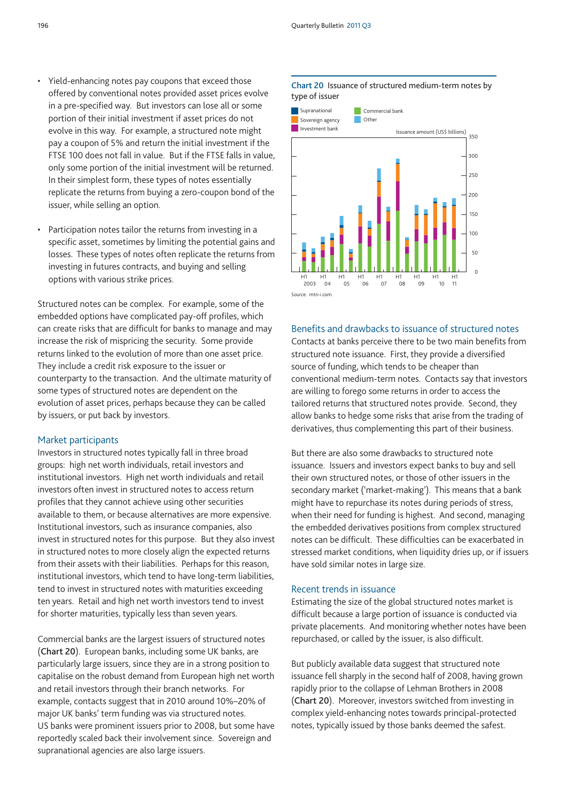- Yield-enhancing notes pay coupons that exceed those offered by conventional notes provided asset prices evolve in a pre-specified way. But investors can lose all or some portion of their initial investment if asset prices do not evolve in this way. For example, a structured note might pay a coupon of 5% and return the initial investment if the FTSE 100 does not fall in value. But if the FTSE falls in value, only some portion of the initial investment will be returned. In their simplest form, these types of notes essentially replicate the returns from buying a zero-coupon bond of the issuer, while selling an option.
- Participation notes tailor the returns from investing in a specific asset, sometimes by limiting the potential gains and losses. These types of notes often replicate the returns from investing in futures contracts, and buying and selling options with various strike prices.

Structured notes can be complex. For example, some of the embedded options have complicated pay-off profiles, which can create risks that are difficult for banks to manage and may increase the risk of mispricing the security. Some provide returns linked to the evolution of more than one asset price. They include a credit risk exposure to the issuer or counterparty to the transaction. And the ultimate maturity of some types of structured notes are dependent on the evolution of asset prices, perhaps because they can be called by issuers, or put back by investors.

#### Market participants

Investors in structured notes typically fall in three broad groups: high net worth individuals, retail investors and institutional investors. High net worth individuals and retail investors often invest in structured notes to access return profiles that they cannot achieve using other securities available to them, or because alternatives are more expensive. Institutional investors, such as insurance companies, also invest in structured notes for this purpose. But they also invest in structured notes to more closely align the expected returns from their assets with their liabilities. Perhaps for this reason, institutional investors, which tend to have long-term liabilities, tend to invest in structured notes with maturities exceeding ten years. Retail and high net worth investors tend to invest for shorter maturities, typically less than seven years.

Commercial banks are the largest issuers of structured notes (**Chart 20**). European banks, including some UK banks, are particularly large issuers, since they are in a strong position to capitalise on the robust demand from European high net worth and retail investors through their branch networks. For example, contacts suggest that in 2010 around 10%–20% of major UK banks' term funding was via structured notes. US banks were prominent issuers prior to 2008, but some have reportedly scaled back their involvement since. Sovereign and supranational agencies are also large issuers.

#### **Chart 20** Issuance of structured medium-term notes by type of issuer



# Benefits and drawbacks to issuance of structured notes

Contacts at banks perceive there to be two main benefits from structured note issuance. First, they provide a diversified source of funding, which tends to be cheaper than conventional medium-term notes. Contacts say that investors are willing to forego some returns in order to access the tailored returns that structured notes provide. Second, they allow banks to hedge some risks that arise from the trading of derivatives, thus complementing this part of their business.

But there are also some drawbacks to structured note issuance. Issuers and investors expect banks to buy and sell their own structured notes, or those of other issuers in the secondary market ('market-making'). This means that a bank might have to repurchase its notes during periods of stress, when their need for funding is highest. And second, managing the embedded derivatives positions from complex structured notes can be difficult. These difficulties can be exacerbated in stressed market conditions, when liquidity dries up, or if issuers have sold similar notes in large size.

#### Recent trends in issuance

Estimating the size of the global structured notes market is difficult because a large portion of issuance is conducted via private placements. And monitoring whether notes have been repurchased, or called by the issuer, is also difficult.

But publicly available data suggest that structured note issuance fell sharply in the second half of 2008, having grown rapidly prior to the collapse of Lehman Brothers in 2008 (**Chart 20**). Moreover, investors switched from investing in complex yield-enhancing notes towards principal-protected notes, typically issued by those banks deemed the safest.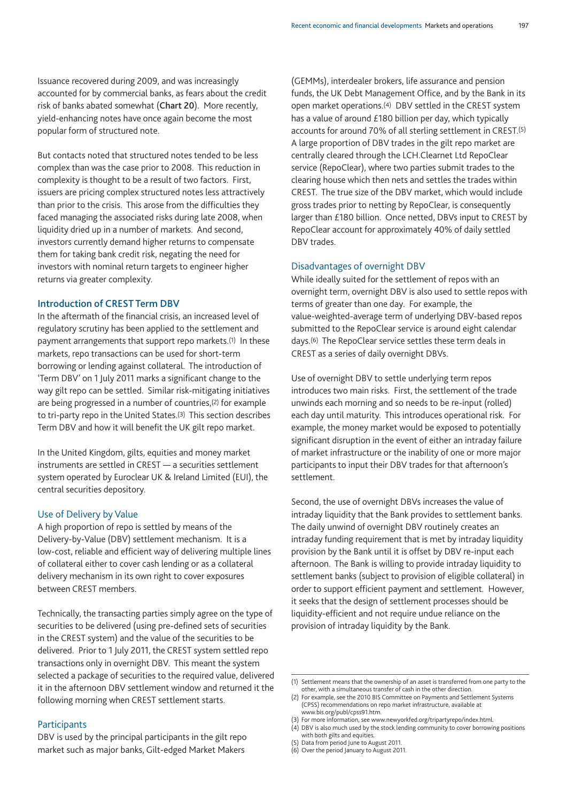Issuance recovered during 2009, and was increasingly accounted for by commercial banks, as fears about the credit risk of banks abated somewhat (**Chart 20**). More recently, yield-enhancing notes have once again become the most popular form of structured note.

But contacts noted that structured notes tended to be less complex than was the case prior to 2008. This reduction in complexity is thought to be a result of two factors. First, issuers are pricing complex structured notes less attractively than prior to the crisis. This arose from the difficulties they faced managing the associated risks during late 2008, when liquidity dried up in a number of markets. And second, investors currently demand higher returns to compensate them for taking bank credit risk, negating the need for investors with nominal return targets to engineer higher returns via greater complexity.

#### **Introduction of CREST Term DBV**

In the aftermath of the financial crisis, an increased level of regulatory scrutiny has been applied to the settlement and payment arrangements that support repo markets.<sup>(1)</sup> In these markets, repo transactions can be used for short-term borrowing or lending against collateral. The introduction of 'Term DBV' on 1 July 2011 marks a significant change to the way gilt repo can be settled. Similar risk-mitigating initiatives are being progressed in a number of countries,(2) for example to tri-party repo in the United States.(3) This section describes Term DBV and how it will benefit the UK gilt repo market.

In the United Kingdom, gilts, equities and money market instruments are settled in CREST — a securities settlement system operated by Euroclear UK & Ireland Limited (EUI), the central securities depository.

#### Use of Delivery by Value

A high proportion of repo is settled by means of the Delivery-by-Value (DBV) settlement mechanism. It is a low-cost, reliable and efficient way of delivering multiple lines of collateral either to cover cash lending or as a collateral delivery mechanism in its own right to cover exposures between CREST members.

Technically, the transacting parties simply agree on the type of securities to be delivered (using pre-defined sets of securities in the CREST system) and the value of the securities to be delivered. Prior to 1 July 2011, the CREST system settled repo transactions only in overnight DBV. This meant the system selected a package of securities to the required value, delivered it in the afternoon DBV settlement window and returned it the following morning when CREST settlement starts.

#### Participants

DBV is used by the principal participants in the gilt repo market such as major banks, Gilt-edged Market Makers

(GEMMs), interdealer brokers, life assurance and pension funds, the UK Debt Management Office, and by the Bank in its open market operations.(4) DBV settled in the CREST system has a value of around £180 billion per day, which typically accounts for around 70% of all sterling settlement in CREST.(5) A large proportion of DBV trades in the gilt repo market are centrally cleared through the LCH.Clearnet Ltd RepoClear service (RepoClear), where two parties submit trades to the clearing house which then nets and settles the trades within CREST. The true size of the DBV market, which would include gross trades prior to netting by RepoClear, is consequently larger than £180 billion. Once netted, DBVs input to CREST by RepoClear account for approximately 40% of daily settled DBV trades.

#### Disadvantages of overnight DBV

While ideally suited for the settlement of repos with an overnight term, overnight DBV is also used to settle repos with terms of greater than one day. For example, the value-weighted-average term of underlying DBV-based repos submitted to the RepoClear service is around eight calendar days.(6) The RepoClear service settles these term deals in CREST as a series of daily overnight DBVs.

Use of overnight DBV to settle underlying term repos introduces two main risks. First, the settlement of the trade unwinds each morning and so needs to be re-input (rolled) each day until maturity. This introduces operational risk. For example, the money market would be exposed to potentially significant disruption in the event of either an intraday failure of market infrastructure or the inability of one or more major participants to input their DBV trades for that afternoon's settlement.

Second, the use of overnight DBVs increases the value of intraday liquidity that the Bank provides to settlement banks. The daily unwind of overnight DBV routinely creates an intraday funding requirement that is met by intraday liquidity provision by the Bank until it is offset by DBV re-input each afternoon. The Bank is willing to provide intraday liquidity to settlement banks (subject to provision of eligible collateral) in order to support efficient payment and settlement. However, it seeks that the design of settlement processes should be liquidity-efficient and not require undue reliance on the provision of intraday liquidity by the Bank.

(6) Over the period January to August 2011.

<sup>(1)</sup> Settlement means that the ownership of an asset is transferred from one party to the other, with a simultaneous transfer of cash in the other direction.

<sup>(2)</sup> For example, see the 2010 BIS Committee on Payments and Settlement Systems (CPSS) recommendations on repo market infrastructure, available at www.bis.org/publ/cpss91.htm.

<sup>(3)</sup> For more information, see www.newyorkfed.org/tripartyrepo/index.html.

<sup>(4)</sup> DBV is also much used by the stock lending community to cover borrowing positions with both gilts and equities.

<sup>(5)</sup> Data from period June to August 2011.